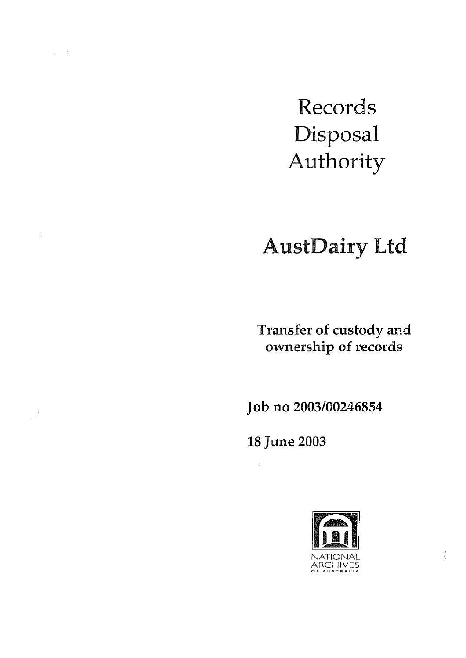Records Disposal Authority

 $\sim 10^{-10}$  H  $_\odot$  .

 $\cdot$ 

 $\frac{1}{2}$ 

# AustDairy Ltd

Transfer of custody and ownership of records

Job no *2003/00246854* 

18 June 2003

 $\sim$   $\sim$ 



 $\frac{1}{2}$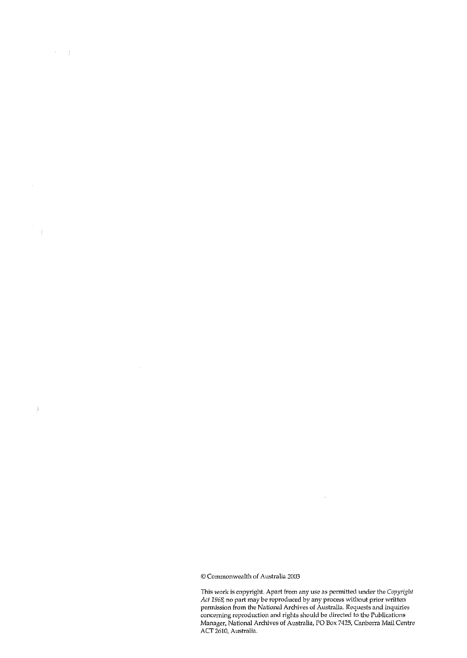© Commonwealth of Australia 2003

 $\label{eq:2.1} \mathcal{L}^{\mathcal{A}}(\mathcal{A})=\sum_{i=1}^n\mathcal{L}^{\mathcal{A}}(\mathcal{A})\mathcal{A}^{\mathcal{A}}(\mathcal{A})\mathcal{A}^{\mathcal{A}}(\mathcal{A}).$ 

 $\mathcal{A}^{\mathcal{A}}$ 

 $\frac{1}{2}$ 

 $\sim 10^6$ 

This work is copyright. Apart from any use as permitted under the *Copyright*  Act 1968, no part may be reproduced by any process without prior written permission from the National Archives of Australia. Requests and inquiries concerning reproduction and rights should be directed to the Publications Manager, National Archives of Australia, PO Box 7425, Canberra Mail Centre ACT 2610, Australia.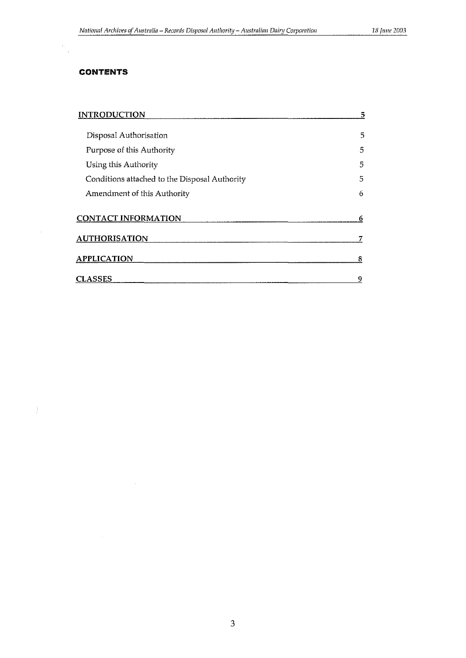#### **CONTENTS**

 $\bar{\lambda}$ 

 $\pm$ 

| <b>INTRODUCTION</b>                           | 5 |
|-----------------------------------------------|---|
| Disposal Authorisation                        | 5 |
| Purpose of this Authority                     | 5 |
| Using this Authority                          | 5 |
| Conditions attached to the Disposal Authority | 5 |
| Amendment of this Authority                   | 6 |
| <b>CONTACT INFORMATION</b>                    | 6 |
| <b>AUTHORISATION</b>                          |   |
| <b>APPLICATION</b>                            | 8 |
| <b>CLASSES</b>                                | 9 |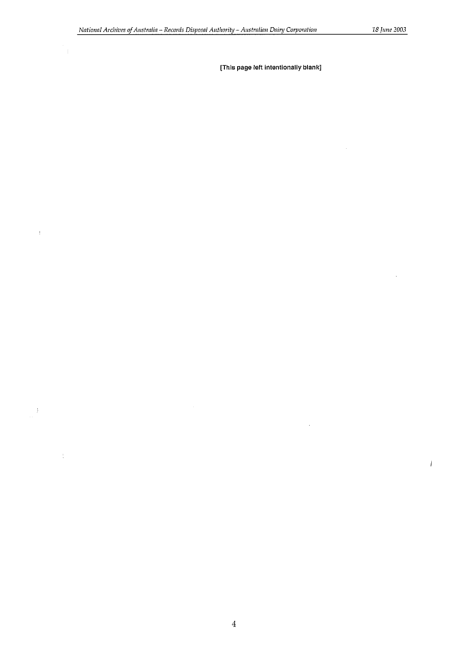$\sim$ 

 $\frac{1}{2}$ 

 $\mathbf{r}$ 

 $\frac{1}{\sqrt{2}}$ 

 $\frac{1}{4}$ 

 $\bar{\mathcal{A}}$ 

 $\boldsymbol{\downarrow}$ 

 $\hat{\mathcal{A}}$ 

 $\hat{\mathcal{A}}$ 

[This page left Intentionally blank]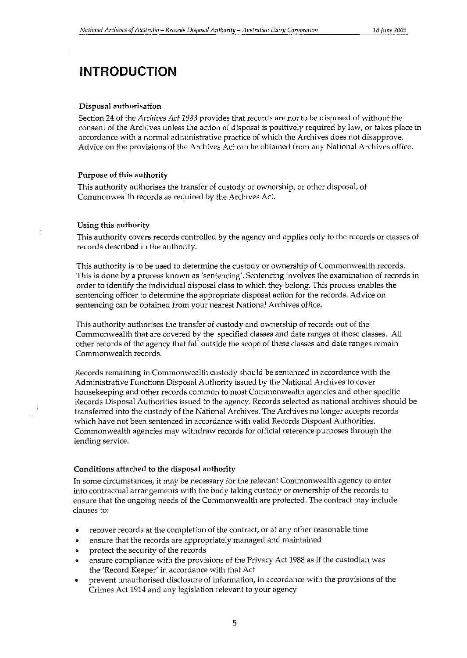### **INTRODUCTION**

#### Disposal authorisation

Section 24 of the *Archives Act* 1983 provides that records are not to be disposed of without the consent of the Archives unless the action of disposal is positively required by law, or takes place in accordance with a normal administrative practice of which the Archives does not disapprove. Advice on the provisions of the Archives Act can be obtained from any National Archives office.

#### Purpose of this authority

This authority authorises the transfer of custody or ownership, or other disposal, of Commonwealth records as required by the Archives Act.

#### Using this authority

This authority covers records controlled by the agency and applies only to the records or classes of records described in the authority.

This authority is to be used to determine the custody or ownership of Commonwealth records. This is done by a process known as 'sentencing'. Sentencing involves the examination of records in order to identify the individual disposal class to which they belong. This process enables the sentencing officer to determine the appropriate disposal action for the records. Advice on sentencing can be obtained from your nearest National Archives office.

This authority authorises the transfer of custody and ownership of records out of the Commonwealth that are covered by the specified classes and date ranges of those classes. All other records of the agency that fall outside the scope of these classes and date ranges remain Commonwealth records.

Records remaining in Commonwealth custody should be sentenced in accordance with the Administrative Functions Disposal Authority issued by the National Archives to cover housekeeping and other records common to most Commonwealth agencies and other specific Records Disposal Authorities issued to the agency. Records selected as national archives should be transferred into the custody of the National Archives. The Archives no longer accepts records which have not been sentenced in accordance with valid Records Disposal Authorities. Commonwealth agencies may withdraw records for official reference purposes through the lending service.

#### Conditions attached to the disposal authority

In some circumstances, it may be necessary for the relevant Conunonwealth agency to enter into contractual arrangements with the body taking custody or ownership of the records to ensure that the ongoing needs of the Commonwealth are protected. The contract may include clauses to:

- recover records at the completion of the contract, or at any other reasonable time
- ensure that the records are appropriately managed and maintained
- protect the security of the records
- ensure compliance with the provisions of the Privacy Act 1988 as if the custodian was the 'Record Keeper' in accordance with that Act
- **• prevent unauthorised disclosure of information, in accordance with the provisions of the**  Crimes Act 1914 and any legislation relevant to your agency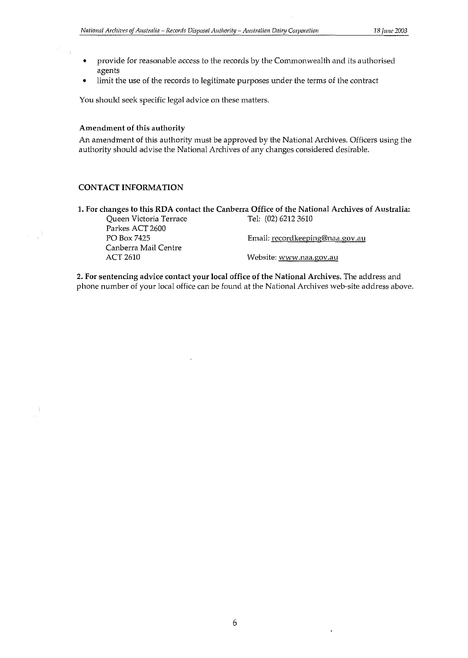- provide for reasonable access to the records by the Commonwealth and its authorised agents
- limit the use of the records to legitimate purposes under the terms of the contract

You should seek specific legal advice on these matters.

#### Amendment of this authority

An amendment of this authority must be approved by the National Archives. Officers using the authority should advise the National Archives of any changes considered desirable.

#### CONTACT INFORMATION

 $\mathbb{R}^3 \times \mathbb{R}^3$ 

#### 1. For changes to this RDA contact the Canberra Office of the National Archives of Australia: Queen Victoria Terrace Tel: (02) 6212 3610

Parkes ACT 2600 Canberra Mail Centre

PO Box 7425 **Email:** recordkeeping@naa.gov.au

ACT 2610 Website: www.naa.gov.au

2. For sentencing advice contact your local office of the National Archives. The address and phone number of your local office can be found at the National Archives web-site address above.

 $\epsilon$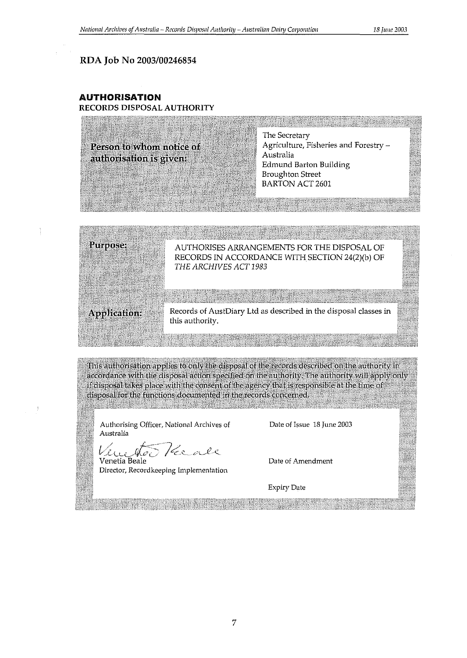<u> Henrik Stor Henri</u>

#### RDAJob No *2003/00246854*

#### **AUTHORISATION**

<u> Estado e con</u>

RECORDS DISPOSAL AUTHORITY

|                          | The Secretary                                                                                                                                     |
|--------------------------|---------------------------------------------------------------------------------------------------------------------------------------------------|
| Person to whom notice of | Agriculture, Fisheries and Forestry -                                                                                                             |
| authorisation is given:  | Australia                                                                                                                                         |
|                          | <b>Edmund Barton Building</b>                                                                                                                     |
|                          | <b>Broughton Street</b>                                                                                                                           |
|                          | <b>BARTON ACT 2601</b>                                                                                                                            |
|                          |                                                                                                                                                   |
|                          | The state of the state of the state of the state of the state of the state of the state of the state of the state of<br><u> Helenia (m. 1988)</u> |
|                          |                                                                                                                                                   |

| <b>Purpose:</b> | AUTHORISES ARRANGEMENTS FOR THE DISPOSAL OF                      |  |
|-----------------|------------------------------------------------------------------|--|
|                 | RECORDS IN ACCORDANCE WITH SECTION 24(2)(b) OF                   |  |
|                 | THE ARCHIVES ACT 1983                                            |  |
|                 |                                                                  |  |
|                 |                                                                  |  |
|                 |                                                                  |  |
| Application:    | Records of AustDiary Ltd as described in the disposal classes in |  |
|                 | this authority.                                                  |  |
|                 |                                                                  |  |
|                 |                                                                  |  |

This authorisation applies to only the disposal of the records described on the authority in: accordance with the disposal action specified on the authority. The authority will apply only if disposal takes place with the consent of the agency that is responsible at the fime of disposal for the functions documented in the records concerned.

Authorising Officer, National Archives of Australia

Victor No Keale

Director, Recordkeeping Implementation

Date of Issue 18 June 2003

Date of Amendment

**Expiry Date**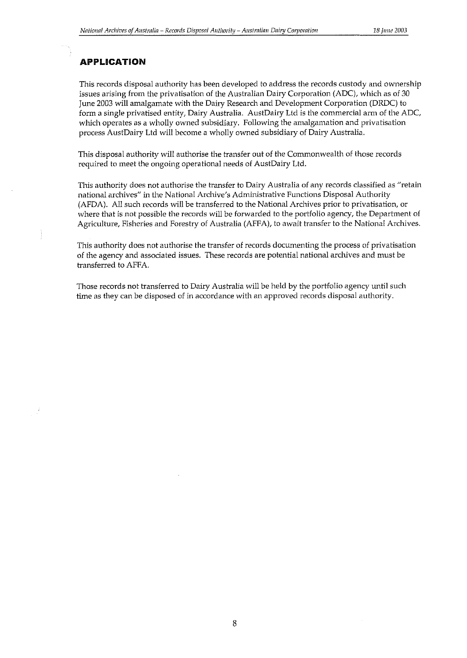### **APPLICATION**

This records disposal authority has been developed to address the records custody and ownership issues arising from the privatisation of the Australian Dairy Corporation (ADC), which as of 30 June 2003 will amalgamate with the Dairy Research and Development Corporation (DRDC) to form a single privatised entity, Dairy Australia. AustDairy Ltd is the commercial arm of the ADC, which operates as a wholly owned subsidiary. Following the amalgamation and privatisation process AustDairy Ltd will become a wholly owned subsidiary of Dairy Australia.

This disposal authority will authorise the transfer out of the Commonwealth of those records required to meet the ongoing opera tional needs of AustDairy Ltd.

This authority does not authorise the transfer to Dairy Australia of any records classified as "retain national archives" in the National Archive's Administrative Functions Disposal Authority (AFDA). All such records will be transferred to the National Archives prior to privatisation, or where that is not possible the records will be forwarded to the portfolio agency, the Department of Agriculture, Fisheries and Forestry of Australia (AFFA), to await transfer to the National Archives.

This authority does not authorise the transfer of records documenting the process of privatisation of the agency and associated issues. These records are potential national archives and must be transferred to AFFA.

Those records not transferred to Dairy Australia will be held by the portfolio agency until such time as they can be disposed of in accordance with an approved records disposal authority.